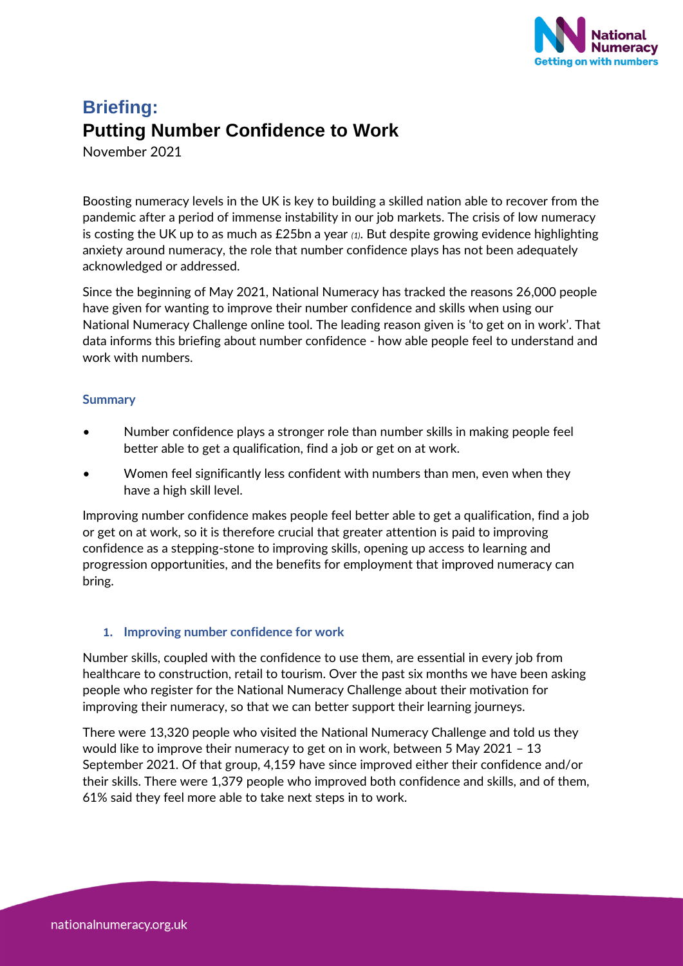

# **Briefing: Putting Number Confidence to Work**

November 2021

Boosting numeracy levels in the UK is key to building a skilled nation able to recover from the pandemic after a period of immense instability in our job markets. The crisis of low numeracy is costing the UK up to as much as £25bn a year *(1)*. But despite growing evidence highlighting anxiety around numeracy, the role that number confidence plays has not been adequately acknowledged or addressed.

Since the beginning of May 2021, National Numeracy has tracked the reasons 26,000 people have given for wanting to improve their number confidence and skills when using our National Numeracy Challenge online tool. The leading reason given is 'to get on in work'. That data informs this briefing about number confidence - how able people feel to understand and work with numbers.

## **Summary**

- Number confidence plays a stronger role than number skills in making people feel better able to get a qualification, find a job or get on at work.
- Women feel significantly less confident with numbers than men, even when they have a high skill level.

Improving number confidence makes people feel better able to get a qualification, find a job or get on at work, so it is therefore crucial that greater attention is paid to improving confidence as a stepping-stone to improving skills, opening up access to learning and progression opportunities, and the benefits for employment that improved numeracy can bring.

# **1. Improving number confidence for work**

Number skills, coupled with the confidence to use them, are essential in every job from healthcare to construction, retail to tourism. Over the past six months we have been asking people who register for the National Numeracy Challenge about their motivation for improving their numeracy, so that we can better support their learning journeys.

There were 13,320 people who visited the National Numeracy Challenge and told us they would like to improve their numeracy to get on in work, between 5 May 2021 – 13 September 2021. Of that group, 4,159 have since improved either their confidence and/or their skills. There were 1,379 people who improved both confidence and skills, and of them, 61% said they feel more able to take next steps in to work.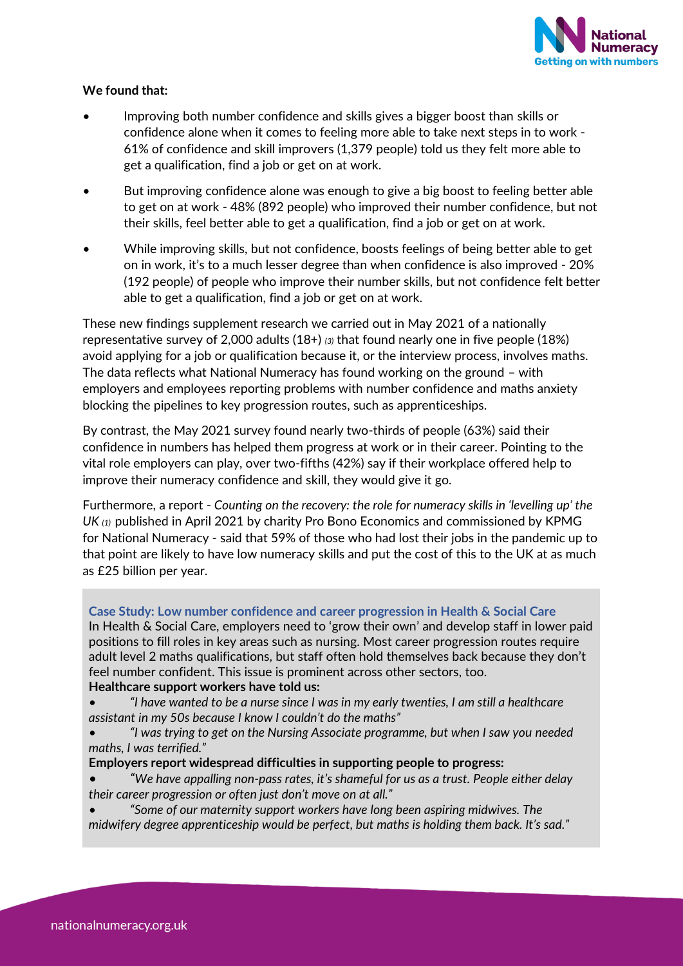

# **We found that:**

- Improving both number confidence and skills gives a bigger boost than skills or confidence alone when it comes to feeling more able to take next steps in to work - 61% of confidence and skill improvers (1,379 people) told us they felt more able to get a qualification, find a job or get on at work.
- But improving confidence alone was enough to give a big boost to feeling better able to get on at work - 48% (892 people) who improved their number confidence, but not their skills, feel better able to get a qualification, find a job or get on at work.
- While improving skills, but not confidence, boosts feelings of being better able to get on in work, it's to a much lesser degree than when confidence is also improved - 20% (192 people) of people who improve their number skills, but not confidence felt better able to get a qualification, find a job or get on at work.

These new findings supplement research we carried out in May 2021 of a nationally representative survey of 2,000 adults (18+) *(3)* that found nearly one in five people (18%) avoid applying for a job or qualification because it, or the interview process, involves maths. The data reflects what National Numeracy has found working on the ground – with employers and employees reporting problems with number confidence and maths anxiety blocking the pipelines to key progression routes, such as apprenticeships.

By contrast, the May 2021 survey found nearly two-thirds of people (63%) said their confidence in numbers has helped them progress at work or in their career. Pointing to the vital role employers can play, over two-fifths (42%) say if their workplace offered help to improve their numeracy confidence and skill, they would give it go.

Furthermore, a report - *Counting on the recovery: the role for numeracy skills in 'levelling up' the UK (1)* published in April 2021 by charity Pro Bono Economics and commissioned by KPMG for National Numeracy - said that 59% of those who had lost their jobs in the pandemic up to that point are likely to have low numeracy skills and put the cost of this to the UK at as much as £25 billion per year.

#### **Case Study: Low number confidence and career progression in Health & Social Care**

In Health & Social Care, employers need to 'grow their own' and develop staff in lower paid positions to fill roles in key areas such as nursing. Most career progression routes require adult level 2 maths qualifications, but staff often hold themselves back because they don't feel number confident. This issue is prominent across other sectors, too.

## **Healthcare support workers have told us:**

- *"I have wanted to be a nurse since I was in my early twenties, I am still a healthcare assistant in my 50s because I know I couldn't do the maths"*
- *• "I was trying to get on the Nursing Associate programme, but when I saw you needed maths, I was terrified."*

#### **Employers report widespread difficulties in supporting people to progress:**

- *"We have appalling non-pass rates, it's shameful for us as a trust. People either delay their career progression or often just don't move on at all."*
- *• "Some of our maternity support workers have long been aspiring midwives. The midwifery degree apprenticeship would be perfect, but maths is holding them back. It's sad."*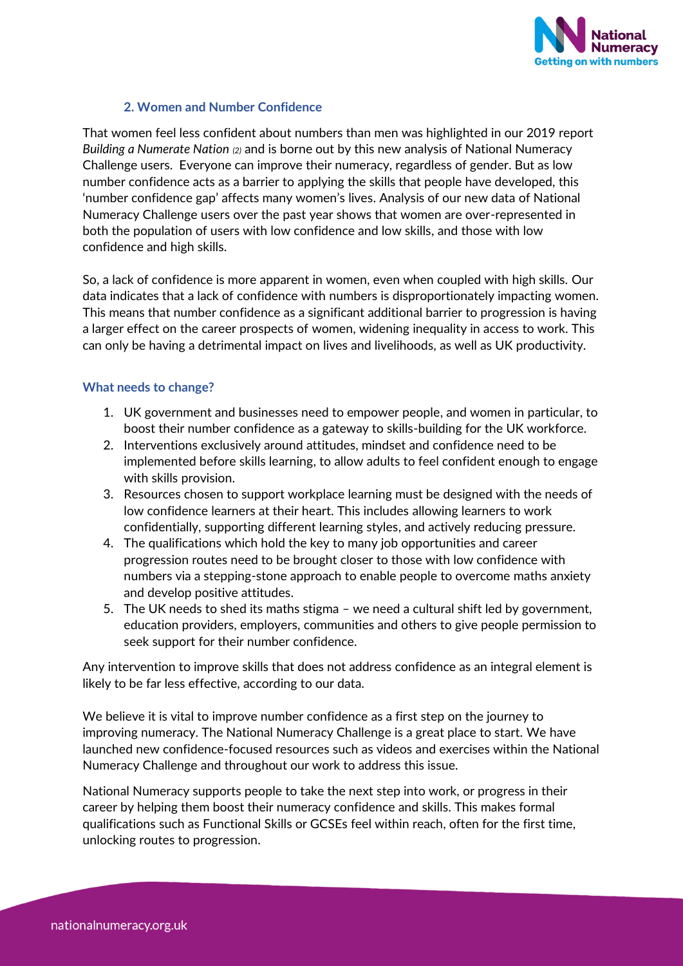

# **2. Women and Number Confidence**

That women feel less confident about numbers than men was highlighted in our 2019 report *Building a Numerate Nation (2)* and is borne out by this new analysis of National Numeracy Challenge users. Everyone can improve their numeracy, regardless of gender. But as low number confidence acts as a barrier to applying the skills that people have developed, this 'number confidence gap' affects many women's lives. Analysis of our new data of National Numeracy Challenge users over the past year shows that women are over-represented in both the population of users with low confidence and low skills, and those with low confidence and high skills.

So, a lack of confidence is more apparent in women, even when coupled with high skills. Our data indicates that a lack of confidence with numbers is disproportionately impacting women. This means that number confidence as a significant additional barrier to progression is having a larger effect on the career prospects of women, widening inequality in access to work. This can only be having a detrimental impact on lives and livelihoods, as well as UK productivity.

# **What needs to change?**

- 1. UK government and businesses need to empower people, and women in particular, to boost their number confidence as a gateway to skills-building for the UK workforce.
- 2. Interventions exclusively around attitudes, mindset and confidence need to be implemented before skills learning, to allow adults to feel confident enough to engage with skills provision.
- 3. Resources chosen to support workplace learning must be designed with the needs of low confidence learners at their heart. This includes allowing learners to work confidentially, supporting different learning styles, and actively reducing pressure.
- 4. The qualifications which hold the key to many job opportunities and career progression routes need to be brought closer to those with low confidence with numbers via a stepping-stone approach to enable people to overcome maths anxiety and develop positive attitudes.
- 5. The UK needs to shed its maths stigma we need a cultural shift led by government, education providers, employers, communities and others to give people permission to seek support for their number confidence.

Any intervention to improve skills that does not address confidence as an integral element is likely to be far less effective, according to our data.

We believe it is vital to improve number confidence as a first step on the journey to improving numeracy. The National Numeracy Challenge is a great place to start. We have launched new confidence-focused resources such as videos and exercises within the National Numeracy Challenge and throughout our work to address this issue.

National Numeracy supports people to take the next step into work, or progress in their career by helping them boost their numeracy confidence and skills. This makes formal qualifications such as Functional Skills or GCSEs feel within reach, often for the first time, unlocking routes to progression.